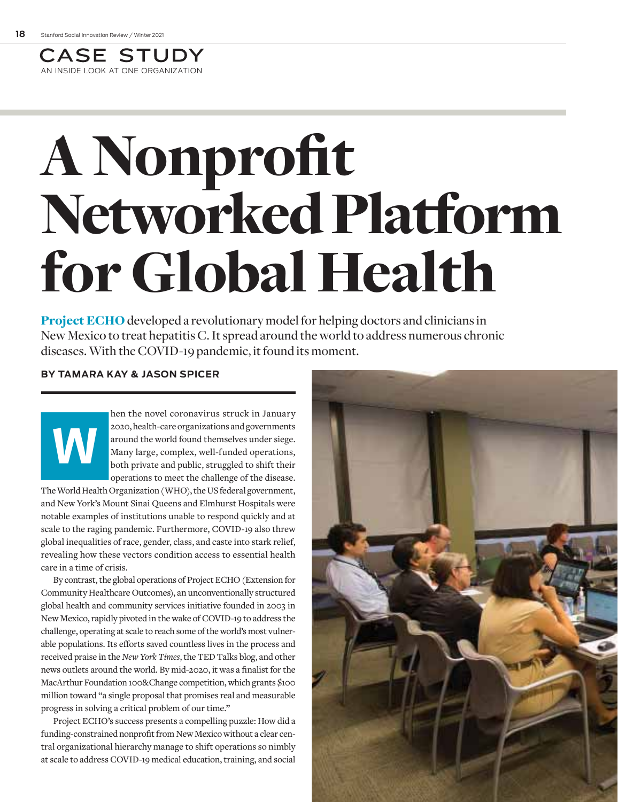

# A Nonprofit Networked Platform for Global Health

**Project ECHO** developed a revolutionary model for helping doctors and clinicians in New Mexico to treat hepatitis C. It spread around the world to address numerous chronic diseases. With the COVID-19 pandemic, it found its moment.

### **BY TAMARA KAY & JASON SPICER**

hen the novel coronavirus struck in January<br>
2020, health-care organizations and governments<br>
around the world found themselves under siege.<br>
Many large, complex, well-funded operations,<br>
both private and public, struggled 2020, health-care organizations and governments around the world found themselves under siege. Many large, complex, well-funded operations, both private and public, struggled to shift their operations to meet the challenge of the disease.

The World Health Organization (WHO), the US federal government, and New York's Mount Sinai Queens and Elmhurst Hospitals were notable examples of institutions unable to respond quickly and at scale to the raging pandemic. Furthermore, COVID-19 also threw global inequalities of race, gender, class, and caste into stark relief, revealing how these vectors condition access to essential health care in a time of crisis.

By contrast, the global operations of Project ECHO (Extension for Community Healthcare Outcomes), an unconventionally structured global health and community services initiative founded in 2003 in New Mexico, rapidly pivoted in the wake of COVID-19 to address the challenge, operating at scale to reach some of the world's most vulnerable populations. Its efforts saved countless lives in the process and received praise in the *New York Times*, the TED Talks blog, and other news outlets around the world. By mid-2020, it was a finalist for the MacArthur Foundation 100&Change competition, which grants \$100 million toward "a single proposal that promises real and measurable progress in solving a critical problem of our time."

Project ECHO's success presents a compelling puzzle: How did a funding-constrained nonprofit from New Mexico without a clear central organizational hierarchy manage to shift operations so nimbly at scale to address COVID-19 medical education, training, and social

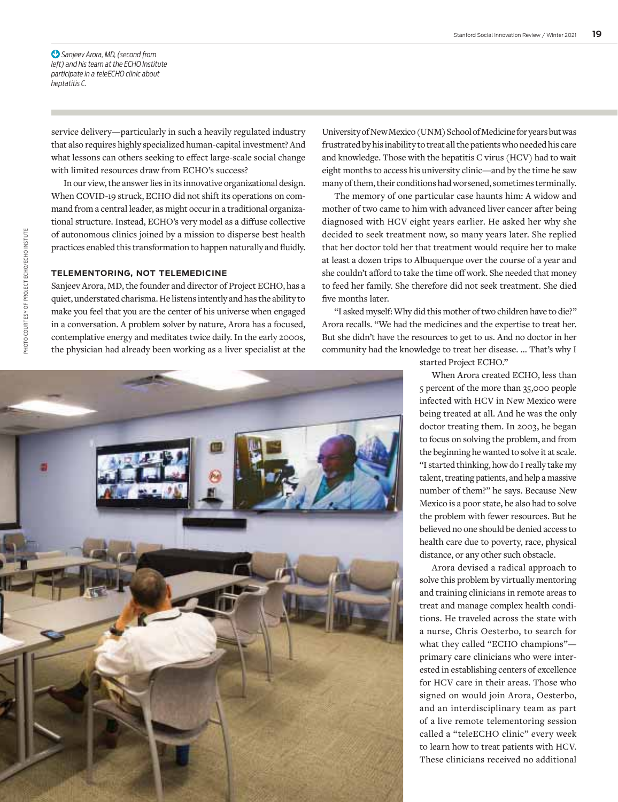*Sanjeev Arora, MD, (second from*  ! *left) and his team at the ECHO Institute participate in a teleECHO clinic about heptatitis C.*

service delivery—particularly in such a heavily regulated industry that also requires highly specialized human-capital investment? And what lessons can others seeking to effect large-scale social change with limited resources draw from ECHO's success?

In our view, the answer lies in its innovative organizational design. When COVID-19 struck, ECHO did not shift its operations on command from a central leader, as might occur in a traditional organizational structure. Instead, ECHO's very model as a diffuse collective of autonomous clinics joined by a mission to disperse best health practices enabled this transformation to happen naturally and fluidly.

#### **TELEMENTORING, NOT TELEMEDICINE**

Sanjeev Arora, MD, the founder and director of Project ECHO, has a quiet, understated charisma. He listens intently and has the ability to make you feel that you are the center of his universe when engaged in a conversation. A problem solver by nature, Arora has a focused, contemplative energy and meditates twice daily. In the early 2000s, the physician had already been working as a liver specialist at the University of New Mexico (UNM) School of Medicine for years but was frustrated by his inability to treat all the patients who needed his care and knowledge. Those with the hepatitis C virus (HCV) had to wait eight months to access his university clinic—and by the time he saw many of them, their conditions had worsened, sometimes terminally.

The memory of one particular case haunts him: A widow and mother of two came to him with advanced liver cancer after being diagnosed with HCV eight years earlier. He asked her why she decided to seek treatment now, so many years later. She replied that her doctor told her that treatment would require her to make at least a dozen trips to Albuquerque over the course of a year and she couldn't afford to take the time off work. She needed that money to feed her family. She therefore did not seek treatment. She died five months later.

"I asked myself: Why did this mother of two children have to die?" Arora recalls. "We had the medicines and the expertise to treat her. But she didn't have the resources to get to us. And no doctor in her community had the knowledge to treat her disease. … That's why I



started Project ECHO."

When Arora created ECHO, less than 5 percent of the more than 35,000 people infected with HCV in New Mexico were being treated at all. And he was the only doctor treating them. In 2003, he began to focus on solving the problem, and from the beginning he wanted to solve it at scale. "I started thinking, how do I really take my talent, treating patients, and help a massive number of them?" he says. Because New Mexico is a poor state, he also had to solve the problem with fewer resources. But he believed no one should be denied access to health care due to poverty, race, physical distance, or any other such obstacle.

Arora devised a radical approach to solve this problem by virtually mentoring and training clinicians in remote areas to treat and manage complex health conditions. He traveled across the state with a nurse, Chris Oesterbo, to search for what they called "ECHO champions" primary care clinicians who were interested in establishing centers of excellence for HCV care in their areas. Those who signed on would join Arora, Oesterbo, and an interdisciplinary team as part of a live remote telementoring session called a "teleECHO clinic" every week to learn how to treat patients with HCV. These clinicians received no additional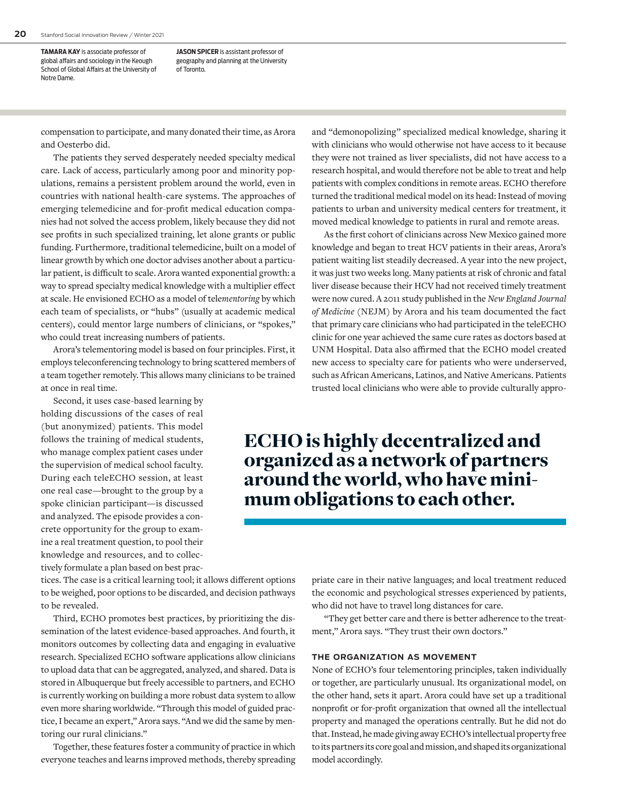**TAMARA KAY** is associate professor of global affairs and sociology in the Keough School of Global Affairs at the University of Notre Dame.

**JASON SPICER** is assistant professor of geography and planning at the University of Toronto.

compensation to participate, and many donated their time, as Arora and Oesterbo did.

The patients they served desperately needed specialty medical care. Lack of access, particularly among poor and minority populations, remains a persistent problem around the world, even in countries with national health-care systems. The approaches of emerging telemedicine and for-profit medical education companies had not solved the access problem, likely because they did not see profits in such specialized training, let alone grants or public funding. Furthermore, traditional telemedicine, built on a model of linear growth by which one doctor advises another about a particular patient, is difficult to scale. Arora wanted exponential growth: a way to spread specialty medical knowledge with a multiplier effect at scale. He envisioned ECHO as a model of tele*mentoring* by which each team of specialists, or "hubs" (usually at academic medical centers), could mentor large numbers of clinicians, or "spokes," who could treat increasing numbers of patients.

Arora's telementoring model is based on four principles. First, it employs teleconferencing technology to bring scattered members of a team together remotely. This allows many clinicians to be trained at once in real time.

Second, it uses case-based learning by holding discussions of the cases of real (but anonymized) patients. This model follows the training of medical students, who manage complex patient cases under the supervision of medical school faculty. During each teleECHO session, at least one real case—brought to the group by a spoke clinician participant—is discussed and analyzed. The episode provides a concrete opportunity for the group to examine a real treatment question, to pool their knowledge and resources, and to collectively formulate a plan based on best prac-

tices. The case is a critical learning tool; it allows different options to be weighed, poor options to be discarded, and decision pathways to be revealed.

Third, ECHO promotes best practices, by prioritizing the dissemination of the latest evidence-based approaches. And fourth, it monitors outcomes by collecting data and engaging in evaluative research. Specialized ECHO software applications allow clinicians to upload data that can be aggregated, analyzed, and shared. Data is stored in Albuquerque but freely accessible to partners, and ECHO is currently working on building a more robust data system to allow even more sharing worldwide. "Through this model of guided practice, I became an expert," Arora says. "And we did the same by mentoring our rural clinicians."

Together, these features foster a community of practice in which everyone teaches and learns improved methods, thereby spreading and "demonopolizing" specialized medical knowledge, sharing it with clinicians who would otherwise not have access to it because they were not trained as liver specialists, did not have access to a research hospital, and would therefore not be able to treat and help patients with complex conditions in remote areas. ECHO therefore turned the traditional medical model on its head: Instead of moving patients to urban and university medical centers for treatment, it moved medical knowledge to patients in rural and remote areas.

As the first cohort of clinicians across New Mexico gained more knowledge and began to treat HCV patients in their areas, Arora's patient waiting list steadily decreased. A year into the new project, it was just two weeks long. Many patients at risk of chronic and fatal liver disease because their HCV had not received timely treatment were now cured. A 2011 study published in the *New England Journal of Medicine* (NEJM) by Arora and his team documented the fact that primary care clinicians who had participated in the teleECHO clinic for one year achieved the same cure rates as doctors based at UNM Hospital. Data also affirmed that the ECHO model created new access to specialty care for patients who were underserved, such as African Americans, Latinos, and Native Americans. Patients trusted local clinicians who were able to provide culturally appro-

## ECHO is highly decentralized and organized as a network of partners around the world, who have minimum obligations to each other.

priate care in their native languages; and local treatment reduced the economic and psychological stresses experienced by patients, who did not have to travel long distances for care.

"They get better care and there is better adherence to the treatment," Arora says. "They trust their own doctors."

#### **THE ORGANIZATION AS MOVEMENT**

None of ECHO's four telementoring principles, taken individually or together, are particularly unusual. Its organizational model, on the other hand, sets it apart. Arora could have set up a traditional nonprofit or for-profit organization that owned all the intellectual property and managed the operations centrally. But he did not do that. Instead, he made giving away ECHO's intellectual property free to its partners its core goal and mission, and shaped its organizational model accordingly.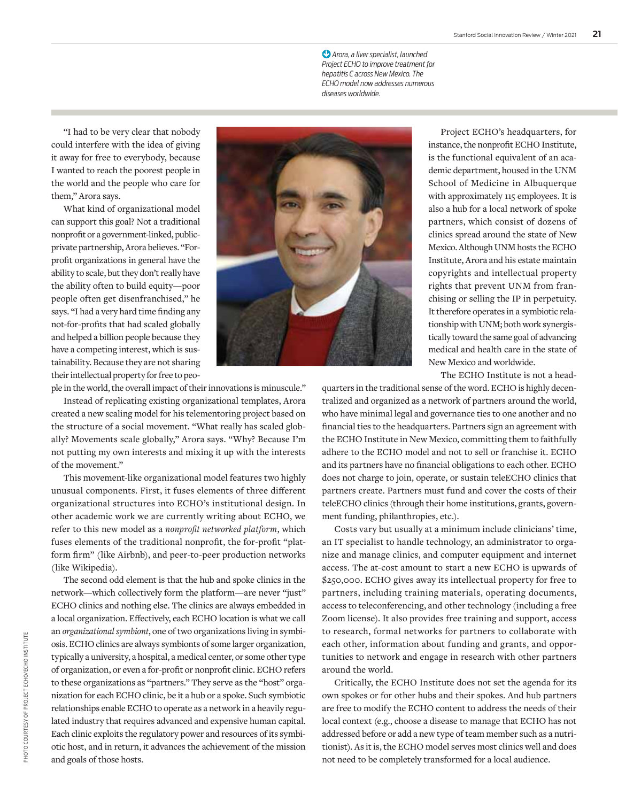*Arora, a liver specialist, launched*  !*Project ECHO to improve treatment for hepatitis C across New Mexico. The ECHO model now addresses numerous diseases worldwide.*

"I had to be very clear that nobody could interfere with the idea of giving it away for free to everybody, because I wanted to reach the poorest people in the world and the people who care for them," Arora says.

What kind of organizational model can support this goal? Not a traditional nonprofit or a government-linked, publicprivate partnership, Arora believes. "Forprofit organizations in general have the ability to scale, but they don't really have the ability often to build equity—poor people often get disenfranchised," he says. "I had a very hard time finding any not-for-profits that had scaled globally and helped a billion people because they have a competing interest, which is sustainability. Because they are not sharing their intellectual property for free to peo-

Project ECHO's headquarters, for instance, the nonprofit ECHO Institute, is the functional equivalent of an academic department, housed in the UNM School of Medicine in Albuquerque with approximately 115 employees. It is also a hub for a local network of spoke partners, which consist of dozens of clinics spread around the state of New Mexico. Although UNM hosts the ECHO Institute, Arora and his estate maintain copyrights and intellectual property rights that prevent UNM from franchising or selling the IP in perpetuity. It therefore operates in a symbiotic relationship with UNM; both work synergistically toward the same goal of advancing medical and health care in the state of

ple in the world, the overall impact of their innovations is minuscule."

Instead of replicating existing organizational templates, Arora created a new scaling model for his telementoring project based on the structure of a social movement. "What really has scaled globally? Movements scale globally," Arora says. "Why? Because I'm not putting my own interests and mixing it up with the interests of the movement."

This movement-like organizational model features two highly unusual components. First, it fuses elements of three different organizational structures into ECHO's institutional design. In other academic work we are currently writing about ECHO, we refer to this new model as a *nonprofit networked platform*, which fuses elements of the traditional nonprofit, the for-profit "platform firm" (like Airbnb), and peer-to-peer production networks (like Wikipedia).

The second odd element is that the hub and spoke clinics in the network—which collectively form the platform—are never "just" ECHO clinics and nothing else. The clinics are always embedded in a local organization. Effectively, each ECHO location is what we call an *organizational symbiont*, one of two organizations living in symbiosis. ECHO clinics are always symbionts of some larger organization, typically a university, a hospital, a medical center, or some other type of organization, or even a for-profit or nonprofit clinic. ECHO refers to these organizations as "partners." They serve as the "host" organization for each ECHO clinic, be it a hub or a spoke. Such symbiotic relationships enable ECHO to operate as a network in a heavily regulated industry that requires advanced and expensive human capital. Each clinic exploits the regulatory power and resources of its symbiotic host, and in return, it advances the achievement of the mission and goals of those hosts.

New Mexico and worldwide. The ECHO Institute is not a headquarters in the traditional sense of the word. ECHO is highly decentralized and organized as a network of partners around the world,

who have minimal legal and governance ties to one another and no financial ties to the headquarters. Partners sign an agreement with the ECHO Institute in New Mexico, committing them to faithfully adhere to the ECHO model and not to sell or franchise it. ECHO and its partners have no financial obligations to each other. ECHO does not charge to join, operate, or sustain teleECHO clinics that partners create. Partners must fund and cover the costs of their teleECHO clinics (through their home institutions, grants, government funding, philanthropies, etc.).

Costs vary but usually at a minimum include clinicians' time, an IT specialist to handle technology, an administrator to organize and manage clinics, and computer equipment and internet access. The at-cost amount to start a new ECHO is upwards of \$250,000. ECHO gives away its intellectual property for free to partners, including training materials, operating documents, access to teleconferencing, and other technology (including a free Zoom license). It also provides free training and support, access to research, formal networks for partners to collaborate with each other, information about funding and grants, and opportunities to network and engage in research with other partners around the world.

Critically, the ECHO Institute does not set the agenda for its own spokes or for other hubs and their spokes. And hub partners are free to modify the ECHO content to address the needs of their local context (e.g., choose a disease to manage that ECHO has not addressed before or add a new type of team member such as a nutritionist). As it is, the ECHO model serves most clinics well and does not need to be completely transformed for a local audience.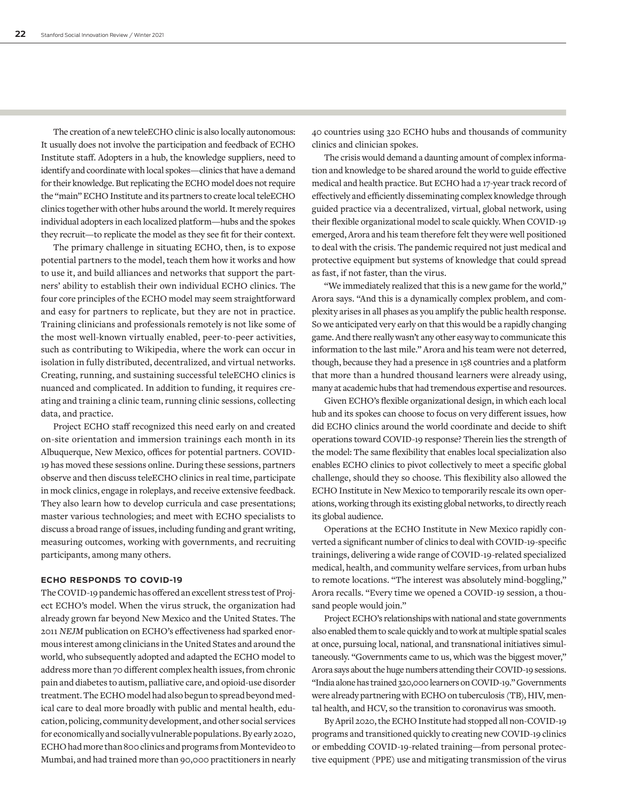The creation of a new teleECHO clinic is also locally autonomous: It usually does not involve the participation and feedback of ECHO Institute staff. Adopters in a hub, the knowledge suppliers, need to identify and coordinate with local spokes—clinics that have a demand for their knowledge. But replicating the ECHO model does not require the "main" ECHO Institute and its partners to create local teleECHO clinics together with other hubs around the world. It merely requires individual adopters in each localized platform—hubs and the spokes they recruit—to replicate the model as they see fit for their context.

The primary challenge in situating ECHO, then, is to expose potential partners to the model, teach them how it works and how to use it, and build alliances and networks that support the partners' ability to establish their own individual ECHO clinics. The four core principles of the ECHO model may seem straightforward and easy for partners to replicate, but they are not in practice. Training clinicians and professionals remotely is not like some of the most well-known virtually enabled, peer-to-peer activities, such as contributing to Wikipedia, where the work can occur in isolation in fully distributed, decentralized, and virtual networks. Creating, running, and sustaining successful teleECHO clinics is nuanced and complicated. In addition to funding, it requires creating and training a clinic team, running clinic sessions, collecting data, and practice.

Project ECHO staff recognized this need early on and created on-site orientation and immersion trainings each month in its Albuquerque, New Mexico, offices for potential partners. COVID-19 has moved these sessions online. During these sessions, partners observe and then discuss teleECHO clinics in real time, participate in mock clinics, engage in roleplays, and receive extensive feedback. They also learn how to develop curricula and case presentations; master various technologies; and meet with ECHO specialists to discuss a broad range of issues, including funding and grant writing, measuring outcomes, working with governments, and recruiting participants, among many others.

#### **ECHO RESPONDS TO COVID-19**

The COVID-19 pandemic has offered an excellent stress test of Project ECHO's model. When the virus struck, the organization had already grown far beyond New Mexico and the United States. The 2011 *NEJM* publication on ECHO's effectiveness had sparked enormous interest among clinicians in the United States and around the world, who subsequently adopted and adapted the ECHO model to address more than 70 different complex health issues, from chronic pain and diabetes to autism, palliative care, and opioid-use disorder treatment. The ECHO model had also begun to spread beyond medical care to deal more broadly with public and mental health, education, policing, community development, and other social services for economically and socially vulnerable populations. By early 2020, ECHO had more than 800 clinics and programs from Montevideo to Mumbai, and had trained more than 90,000 practitioners in nearly 40 countries using 320 ECHO hubs and thousands of community clinics and clinician spokes.

The crisis would demand a daunting amount of complex information and knowledge to be shared around the world to guide effective medical and health practice. But ECHO had a 17-year track record of effectively and efficiently disseminating complex knowledge through guided practice via a decentralized, virtual, global network, using their flexible organizational model to scale quickly. When COVID-19 emerged, Arora and his team therefore felt they were well positioned to deal with the crisis. The pandemic required not just medical and protective equipment but systems of knowledge that could spread as fast, if not faster, than the virus.

"We immediately realized that this is a new game for the world," Arora says. "And this is a dynamically complex problem, and complexity arises in all phases as you amplify the public health response. So we anticipated very early on that this would be a rapidly changing game. And there really wasn't any other easy way to communicate this information to the last mile." Arora and his team were not deterred, though, because they had a presence in 158 countries and a platform that more than a hundred thousand learners were already using, many at academic hubs that had tremendous expertise and resources.

Given ECHO's flexible organizational design, in which each local hub and its spokes can choose to focus on very different issues, how did ECHO clinics around the world coordinate and decide to shift operations toward COVID-19 response? Therein lies the strength of the model: The same flexibility that enables local specialization also enables ECHO clinics to pivot collectively to meet a specific global challenge, should they so choose. This flexibility also allowed the ECHO Institute in New Mexico to temporarily rescale its own operations, working through its existing global networks, to directly reach its global audience.

Operations at the ECHO Institute in New Mexico rapidly converted a significant number of clinics to deal with COVID-19-specific trainings, delivering a wide range of COVID-19-related specialized medical, health, and community welfare services, from urban hubs to remote locations. "The interest was absolutely mind-boggling," Arora recalls. "Every time we opened a COVID-19 session, a thousand people would join."

Project ECHO's relationships with national and state governments also enabled them to scale quickly and to work at multiple spatial scales at once, pursuing local, national, and transnational initiatives simultaneously. "Governments came to us, which was the biggest mover," Arora says about the huge numbers attending their COVID-19 sessions. "India alone has trained 320,000 learners on COVID-19." Governments were already partnering with ECHO on tuberculosis (TB), HIV, mental health, and HCV, so the transition to coronavirus was smooth.

By April 2020, the ECHO Institute had stopped all non-COVID-19 programs and transitioned quickly to creating new COVID-19 clinics or embedding COVID-19-related training—from personal protective equipment (PPE) use and mitigating transmission of the virus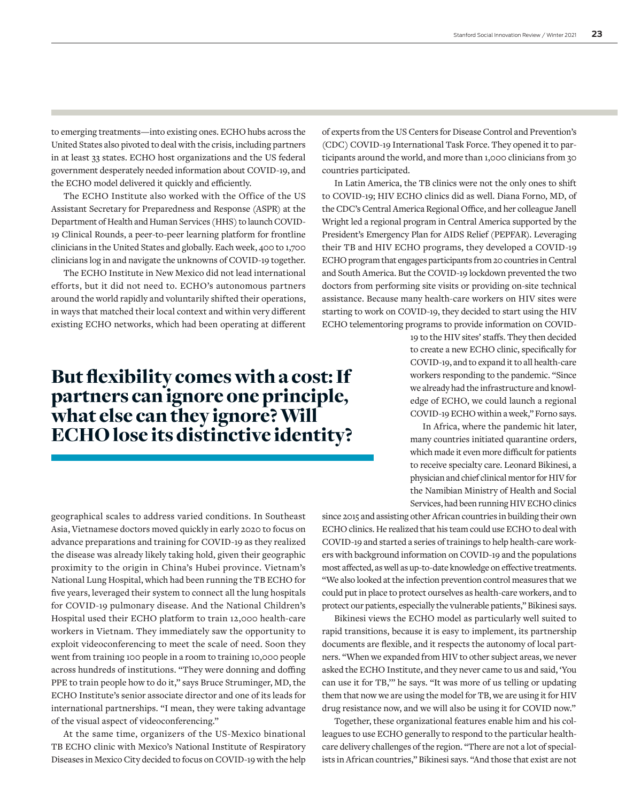to emerging treatments—into existing ones. ECHO hubs across the United States also pivoted to deal with the crisis, including partners in at least 33 states. ECHO host organizations and the US federal government desperately needed information about COVID-19, and the ECHO model delivered it quickly and efficiently.

The ECHO Institute also worked with the Office of the US Assistant Secretary for Preparedness and Response (ASPR) at the Department of Health and Human Services (HHS) to launch COVID-19 Clinical Rounds, a peer-to-peer learning platform for frontline clinicians in the United States and globally. Each week, 400 to 1,700 clinicians log in and navigate the unknowns of COVID-19 together.

The ECHO Institute in New Mexico did not lead international efforts, but it did not need to. ECHO's autonomous partners around the world rapidly and voluntarily shifted their operations, in ways that matched their local context and within very different existing ECHO networks, which had been operating at different

## But flexibility comes with a cost: If partners can ignore one principle, what else can they ignore? Will ECHO lose its distinctive identity?

geographical scales to address varied conditions. In Southeast Asia, Vietnamese doctors moved quickly in early 2020 to focus on advance preparations and training for COVID-19 as they realized the disease was already likely taking hold, given their geographic proximity to the origin in China's Hubei province. Vietnam's National Lung Hospital, which had been running the TB ECHO for five years, leveraged their system to connect all the lung hospitals for COVID-19 pulmonary disease. And the National Children's Hospital used their ECHO platform to train 12,000 health-care workers in Vietnam. They immediately saw the opportunity to exploit videoconferencing to meet the scale of need. Soon they went from training 100 people in a room to training 10,000 people across hundreds of institutions. "They were donning and doffing PPE to train people how to do it," says Bruce Struminger, MD, the ECHO Institute's senior associate director and one of its leads for international partnerships. "I mean, they were taking advantage of the visual aspect of videoconferencing."

At the same time, organizers of the US-Mexico binational TB ECHO clinic with Mexico's National Institute of Respiratory Diseases in Mexico City decided to focus on COVID-19 with the help of experts from the US Centers for Disease Control and Prevention's (CDC) COVID-19 International Task Force. They opened it to participants around the world, and more than 1,000 clinicians from 30 countries participated.

In Latin America, the TB clinics were not the only ones to shift to COVID-19; HIV ECHO clinics did as well. Diana Forno, MD, of the CDC's Central America Regional Office, and her colleague Janell Wright led a regional program in Central America supported by the President's Emergency Plan for AIDS Relief (PEPFAR). Leveraging their TB and HIV ECHO programs, they developed a COVID-19 ECHO program that engages participants from 20 countries in Central and South America. But the COVID-19 lockdown prevented the two doctors from performing site visits or providing on-site technical assistance. Because many health-care workers on HIV sites were starting to work on COVID-19, they decided to start using the HIV ECHO telementoring programs to provide information on COVID-

> 19 to the HIV sites' staffs. They then decided to create a new ECHO clinic, specifically for COVID-19, and to expand it to all health-care workers responding to the pandemic. "Since we already had the infrastructure and knowledge of ECHO, we could launch a regional COVID-19 ECHO within a week," Forno says.

> In Africa, where the pandemic hit later, many countries initiated quarantine orders, which made it even more difficult for patients to receive specialty care. Leonard Bikinesi, a physician and chief clinical mentor for HIV for the Namibian Ministry of Health and Social Services, had been running HIV ECHO clinics

since 2015 and assisting other African countries in building their own ECHO clinics. He realized that his team could use ECHO to deal with COVID-19 and started a series of trainings to help health-care workers with background information on COVID-19 and the populations most affected, as well as up-to-date knowledge on effective treatments. "We also looked at the infection prevention control measures that we could put in place to protect ourselves as health-care workers, and to protect our patients, especially the vulnerable patients," Bikinesi says.

Bikinesi views the ECHO model as particularly well suited to rapid transitions, because it is easy to implement, its partnership documents are flexible, and it respects the autonomy of local partners. "When we expanded from HIV to other subject areas, we never asked the ECHO Institute, and they never came to us and said, 'You can use it for TB,'" he says. "It was more of us telling or updating them that now we are using the model for TB, we are using it for HIV drug resistance now, and we will also be using it for COVID now."

Together, these organizational features enable him and his colleagues to use ECHO generally to respond to the particular healthcare delivery challenges of the region. "There are not a lot of specialists in African countries," Bikinesi says. "And those that exist are not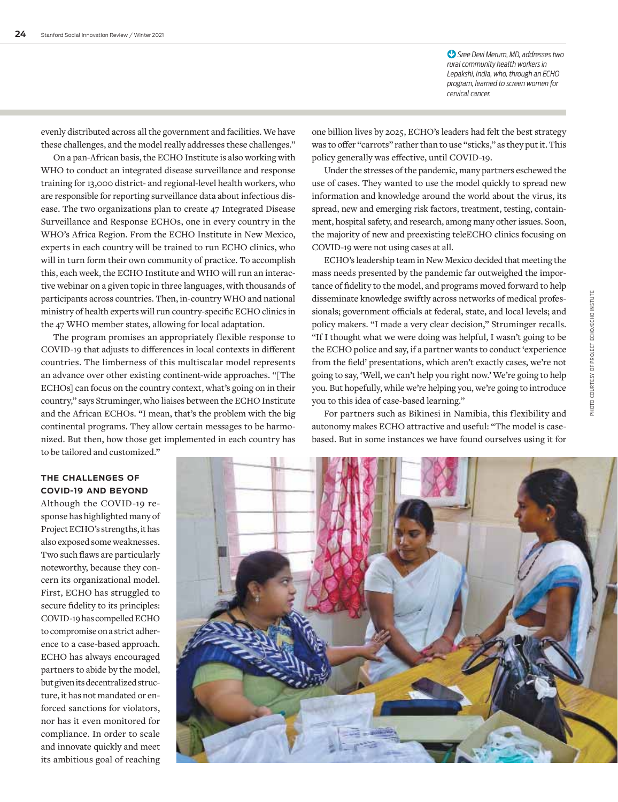*Sree Devi Merum, MD, addresses two*  !*rural community health workers in Lepakshi, India, who, through an ECHO program, learned to screen women for cervical cancer.*

evenly distributed across all the government and facilities. We have these challenges, and the model really addresses these challenges."

On a pan-African basis, the ECHO Institute is also working with WHO to conduct an integrated disease surveillance and response training for 13,000 district- and regional-level health workers, who are responsible for reporting surveillance data about infectious disease. The two organizations plan to create 47 Integrated Disease Surveillance and Response ECHOs, one in every country in the WHO's Africa Region. From the ECHO Institute in New Mexico, experts in each country will be trained to run ECHO clinics, who will in turn form their own community of practice. To accomplish this, each week, the ECHO Institute and WHO will run an interactive webinar on a given topic in three languages, with thousands of participants across countries. Then, in-country WHO and national ministry of health experts will run country-specific ECHO clinics in the 47 WHO member states, allowing for local adaptation.

The program promises an appropriately flexible response to COVID-19 that adjusts to differences in local contexts in different countries. The limberness of this multiscalar model represents an advance over other existing continent-wide approaches. "[The ECHOs] can focus on the country context, what's going on in their country," says Struminger, who liaises between the ECHO Institute and the African ECHOs. "I mean, that's the problem with the big continental programs. They allow certain messages to be harmonized. But then, how those get implemented in each country has to be tailored and customized."

one billion lives by 2025, ECHO's leaders had felt the best strategy was to offer "carrots" rather than to use "sticks," as they put it. This policy generally was effective, until COVID-19.

Under the stresses of the pandemic, many partners eschewed the use of cases. They wanted to use the model quickly to spread new information and knowledge around the world about the virus, its spread, new and emerging risk factors, treatment, testing, containment, hospital safety, and research, among many other issues. Soon, the majority of new and preexisting teleECHO clinics focusing on COVID-19 were not using cases at all.

ECHO's leadership team in New Mexico decided that meeting the mass needs presented by the pandemic far outweighed the importance of fidelity to the model, and programs moved forward to help disseminate knowledge swiftly across networks of medical professionals; government officials at federal, state, and local levels; and policy makers. "I made a very clear decision," Struminger recalls. "If I thought what we were doing was helpful, I wasn't going to be the ECHO police and say, if a partner wants to conduct 'experience from the field' presentations, which aren't exactly cases, we're not going to say, 'Well, we can't help you right now.' We're going to help you. But hopefully, while we're helping you, we're going to introduce you to this idea of case-based learning."

For partners such as Bikinesi in Namibia, this flexibility and autonomy makes ECHO attractive and useful: "The model is casebased. But in some instances we have found ourselves using it for

**THE CHALLENGES OF COVID-19 AND BEYOND**

Although the COVID-19 response has highlighted many of Project ECHO's strengths, it has also exposed some weaknesses. Two such flaws are particularly noteworthy, because they concern its organizational model. First, ECHO has struggled to secure fidelity to its principles: COVID-19 has compelled ECHO to compromise on a strict adherence to a case-based approach. ECHO has always encouraged partners to abide by the model, but given its decentralized structure, it has not mandated or enforced sanctions for violators, nor has it even monitored for compliance. In order to scale and innovate quickly and meet its ambitious goal of reaching